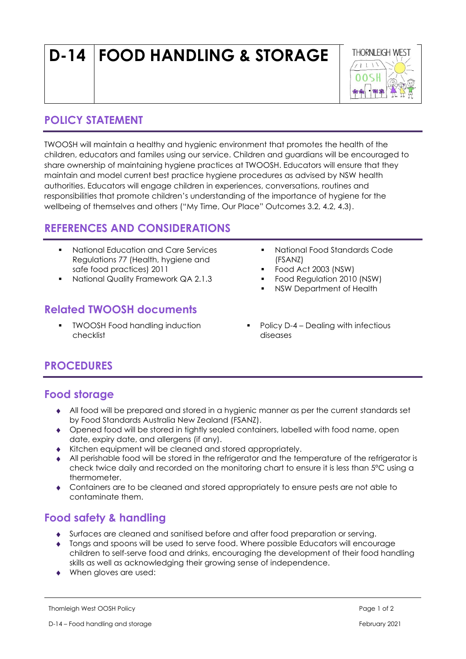# **D-14 FOOD HANDLING & STORAGE**



## **POLICY STATEMENT**

TWOOSH will maintain a healthy and hygienic environment that promotes the health of the children, educators and familes using our service. Children and guardians will be encouraged to share ownership of maintaining hygiene practices at TWOOSH. Educators will ensure that they maintain and model current best practice hygiene procedures as advised by NSW health authorities. Educators will engage children in experiences, conversations, routines and responsibilities that promote children's understanding of the importance of hygiene for the wellbeing of themselves and others ("My Time, Our Place" Outcomes 3.2, 4.2, 4.3).

# **REFERENCES AND CONSIDERATIONS**

- National Education and Care Services Regulations 77 (Health, hygiene and safe food practices) 2011
- National Quality Framework QA 2.1.3

# **Related TWOOSH documents**

■ TWOOSH Food handling induction checklist

- National Food Standards Code [\(FSANZ\)](http://www.foodstandards.gov.au/thecode/)
- [Food Act 2003 \(NSW\)](http://www.legislation.nsw.gov.au/viewtop/inforce/act+43+2003+FIRST+0+N/)
- [Food Regulation 2010 \(NSW\)](http://www.foodauthority.nsw.gov.au/industry/food-standards-and-requirements/legislation/foodregulation)
- NSW Department of Health
- Policy D-4 Dealing with infectious diseases

# **PROCEDURES**

### **Food storage**

- All food will be prepared and stored in a hygienic manner as per the current standards set by Food Standards Australia New Zealand (FSANZ).
- Opened food will be stored in tightly sealed containers, labelled with food name, open date, expiry date, and allergens (if any).
- Kitchen equipment will be cleaned and stored appropriately.
- All perishable food will be stored in the refrigerator and the temperature of the refrigerator is check twice daily and recorded on the monitoring chart to ensure it is less than 5ºC using a thermometer.
- Containers are to be cleaned and stored appropriately to ensure pests are not able to contaminate them.

# **Food safety & handling**

- Surfaces are cleaned and sanitised before and after food preparation or serving.
- Tongs and spoons will be used to serve food. Where possible Educators will encourage children to self-serve food and drinks, encouraging the development of their food handling skills as well as acknowledging their growing sense of independence.
- ◆ When gloves are used: